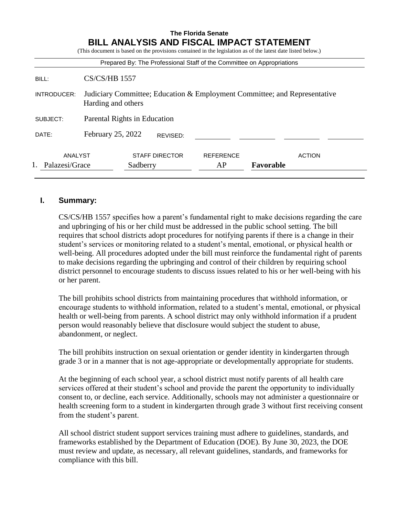| <b>BILL ANALYSIS AND FISCAL IMPACT STATEMENT</b><br>(This document is based on the provisions contained in the legislation as of the latest date listed below.)<br>Prepared By: The Professional Staff of the Committee on Appropriations |                                                                                                 |
|-------------------------------------------------------------------------------------------------------------------------------------------------------------------------------------------------------------------------------------------|-------------------------------------------------------------------------------------------------|
| BILL:                                                                                                                                                                                                                                     | $CS/CS/HB$ 1557                                                                                 |
| INTRODUCER:                                                                                                                                                                                                                               | Judiciary Committee; Education & Employment Committee; and Representative<br>Harding and others |
| SUBJECT:                                                                                                                                                                                                                                  | Parental Rights in Education                                                                    |
| DATE:                                                                                                                                                                                                                                     | February 25, 2022<br>REVISED:                                                                   |
| ANALYST                                                                                                                                                                                                                                   | <b>STAFF DIRECTOR</b><br><b>REFERENCE</b><br><b>ACTION</b><br>Palazesi/Grace<br>AP              |

### **I. Summary:**

CS/CS/HB 1557 specifies how a parent's fundamental right to make decisions regarding the care and upbringing of his or her child must be addressed in the public school setting. The bill requires that school districts adopt procedures for notifying parents if there is a change in their student's services or monitoring related to a student's mental, emotional, or physical health or well-being. All procedures adopted under the bill must reinforce the fundamental right of parents to make decisions regarding the upbringing and control of their children by requiring school district personnel to encourage students to discuss issues related to his or her well-being with his or her parent.

The bill prohibits school districts from maintaining procedures that withhold information, or encourage students to withhold information, related to a student's mental, emotional, or physical health or well-being from parents. A school district may only withhold information if a prudent person would reasonably believe that disclosure would subject the student to abuse, abandonment, or neglect.

The bill prohibits instruction on sexual orientation or gender identity in kindergarten through grade 3 or in a manner that is not age-appropriate or developmentally appropriate for students.

At the beginning of each school year, a school district must notify parents of all health care services offered at their student's school and provide the parent the opportunity to individually consent to, or decline, each service. Additionally, schools may not administer a questionnaire or health screening form to a student in kindergarten through grade 3 without first receiving consent from the student's parent.

All school district student support services training must adhere to guidelines, standards, and frameworks established by the Department of Education (DOE). By June 30, 2023, the DOE must review and update, as necessary, all relevant guidelines, standards, and frameworks for compliance with this bill.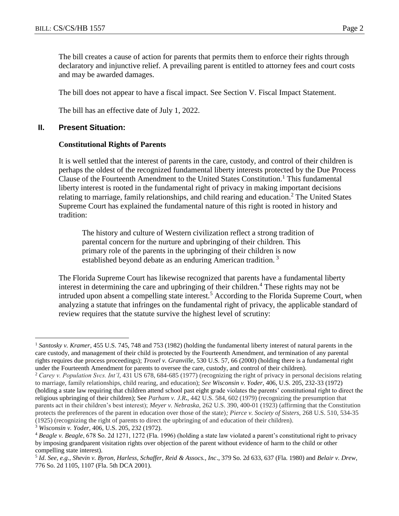The bill creates a cause of action for parents that permits them to enforce their rights through declaratory and injunctive relief. A prevailing parent is entitled to attorney fees and court costs and may be awarded damages.

The bill does not appear to have a fiscal impact. See Section V. Fiscal Impact Statement.

The bill has an effective date of July 1, 2022.

#### **II. Present Situation:**

#### **Constitutional Rights of Parents**

It is well settled that the interest of parents in the care, custody, and control of their children is perhaps the oldest of the recognized fundamental liberty interests protected by the Due Process Clause of the Fourteenth Amendment to the United States Constitution.<sup>1</sup> This fundamental liberty interest is rooted in the fundamental right of privacy in making important decisions relating to marriage, family relationships, and child rearing and education.<sup>2</sup> The United States Supreme Court has explained the fundamental nature of this right is rooted in history and tradition:

The history and culture of Western civilization reflect a strong tradition of parental concern for the nurture and upbringing of their children. This primary role of the parents in the upbringing of their children is now established beyond debate as an enduring American tradition.<sup>3</sup>

The Florida Supreme Court has likewise recognized that parents have a fundamental liberty interest in determining the care and upbringing of their children.<sup>4</sup> These rights may not be intruded upon absent a compelling state interest.<sup>5</sup> According to the Florida Supreme Court, when analyzing a statute that infringes on the fundamental right of privacy, the applicable standard of review requires that the statute survive the highest level of scrutiny:

<sup>3</sup> *Wisconsin v. Yoder*, 406, U.S. 205, 232 (1972).

<sup>1</sup> *Santosky v. Kramer*, 455 U.S. 745, 748 and 753 (1982) (holding the fundamental liberty interest of natural parents in the care custody, and management of their child is protected by the Fourteenth Amendment, and termination of any parental rights requires due process proceedings); *Troxel v. Granville,* 530 U.S. 57, 66 (2000) (holding there is a fundamental right under the Fourteenth Amendment for parents to oversee the care, custody, and control of their children).

<sup>2</sup> *Carey v. Population Svcs. Int'l*, 431 US 678, 684-685 (1977) (recognizing the right of privacy in personal decisions relating to marriage, family relationships, child rearing, and education); *See Wisconsin v. Yoder*, 406, U.S. 205, 232-33 (1972) (holding a state law requiring that children attend school past eight grade violates the parents' constitutional right to direct the religious upbringing of their children); See *Parham v. J.R***.**, 442 U.S. 584, 602 (1979) (recognizing the presumption that parents act in their children's best interest); *Meyer v. Nebraska,* 262 U.S. 390, 400-01 (1923) (affirming that the Constitution protects the preferences of the parent in education over those of the state)*; Pierce v. Society of Sisters,* 268 U.S. 510, 534-35 (1925) (recognizing the right of parents to direct the upbringing of and education of their children).

<sup>4</sup> *Beagle v. Beagle*, 678 So. 2d 1271, 1272 (Fla. 1996) (holding a state law violated a parent's constitutional right to privacy by imposing grandparent visitation rights over objection of the parent without evidence of harm to the child or other compelling state interest).

<sup>5</sup> *Id*. *See, e.g., Shevin v. Byron, Harless, Schaffer, Reid & Assocs., Inc*., 379 So. 2d 633, 637 (Fla. 1980) and *Belair v. Drew*, 776 So. 2d 1105, 1107 (Fla. 5th DCA 2001).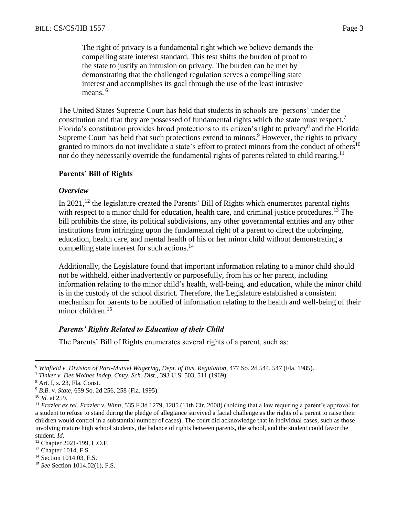The right of privacy is a fundamental right which we believe demands the compelling state interest standard. This test shifts the burden of proof to the state to justify an intrusion on privacy. The burden can be met by demonstrating that the challenged regulation serves a compelling state interest and accomplishes its goal through the use of the least intrusive means.<sup>6</sup>

The United States Supreme Court has held that students in schools are 'persons' under the constitution and that they are possessed of fundamental rights which the state must respect.<sup>7</sup> Florida's constitution provides broad protections to its citizen's right to privacy<sup>8</sup> and the Florida Supreme Court has held that such protections extend to minors.<sup>9</sup> However, the rights to privacy granted to minors do not invalidate a state's effort to protect minors from the conduct of others<sup>10</sup> nor do they necessarily override the fundamental rights of parents related to child rearing.<sup>11</sup>

#### **Parents' Bill of Rights**

#### *Overview*

In  $2021$ , <sup>12</sup> the legislature created the Parents' Bill of Rights which enumerates parental rights with respect to a minor child for education, health care, and criminal justice procedures.<sup>13</sup> The bill prohibits the state, its political subdivisions, any other governmental entities and any other institutions from infringing upon the fundamental right of a parent to direct the upbringing, education, health care, and mental health of his or her minor child without demonstrating a compelling state interest for such actions.<sup>14</sup>

Additionally, the Legislature found that important information relating to a minor child should not be withheld, either inadvertently or purposefully, from his or her parent, including information relating to the minor child's health, well-being, and education, while the minor child is in the custody of the school district. Therefore, the Legislature established a consistent mechanism for parents to be notified of information relating to the health and well-being of their minor children.<sup>15</sup>

#### *Parents' Rights Related to Education of their Child*

The Parents' Bill of Rights enumerates several rights of a parent, such as:

<sup>6</sup> *Winfield v. Division of Pari-Mutuel Wagering, Dept. of Bus. Regulation*, 477 So. 2d 544, 547 (Fla. 1985).

<sup>7</sup> *Tinker v. Des Moines Indep. Cmty. Sch. Dist.*, 393 U.S. 503, 511 (1969).

<sup>8</sup> Art. I, s. 23, Fla. Const.

<sup>9</sup> *B.B. v. State*, 659 So. 2d 256, 258 (Fla. 1995).

<sup>10</sup> *Id.* at 259.

<sup>11</sup> *Frazier ex rel. Frazier v. Winn*, 535 F.3d 1279, 1285 (11th Cir. 2008) (holding that a law requiring a parent's approval for a student to refuse to stand during the pledge of allegiance survived a facial challenge as the rights of a parent to raise their children would control in a substantial number of cases). The court did acknowledge that in individual cases, such as those involving mature high school students, the balance of rights between parents, the school, and the student could favor the student. *Id*.

<sup>12</sup> Chapter 2021-199, L.O.F.

<sup>13</sup> Chapter 1014, F.S.

<sup>&</sup>lt;sup>14</sup> Section 1014.03, F.S.

<sup>15</sup> *See* Section 1014.02(1), F.S.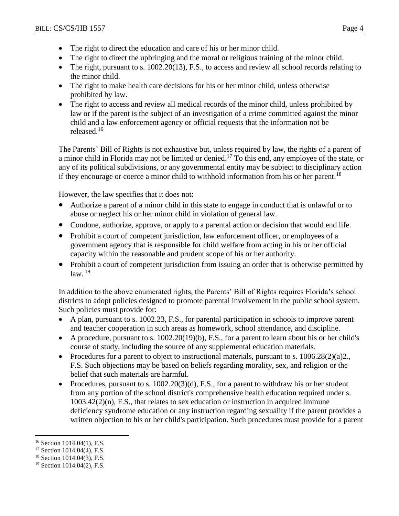- The right to direct the education and care of his or her minor child.
- The right to direct the upbringing and the moral or religious training of the minor child.
- The right, pursuant to s. 1002.20(13), F.S., to access and review all school records relating to the minor child.
- The right to make health care decisions for his or her minor child, unless otherwise prohibited by law.
- The right to access and review all medical records of the minor child, unless prohibited by law or if the parent is the subject of an investigation of a crime committed against the minor child and a law enforcement agency or official requests that the information not be released.<sup>16</sup>

The Parents' Bill of Rights is not exhaustive but, unless required by law, the rights of a parent of a minor child in Florida may not be limited or denied.<sup>17</sup> To this end, any employee of the state, or any of its political subdivisions, or any governmental entity may be subject to disciplinary action if they encourage or coerce a minor child to withhold information from his or her parent.<sup>18</sup>

However, the law specifies that it does not:

- Authorize a parent of a minor child in this state to engage in conduct that is unlawful or to abuse or neglect his or her minor child in violation of general law.
- Condone, authorize, approve, or apply to a parental action or decision that would end life.
- Prohibit a court of competent jurisdiction, law enforcement officer, or employees of a government agency that is responsible for child welfare from acting in his or her official capacity within the reasonable and prudent scope of his or her authority.
- Prohibit a court of competent jurisdiction from issuing an order that is otherwise permitted by  $law<sup>19</sup>$

In addition to the above enumerated rights, the Parents' Bill of Rights requires Florida's school districts to adopt policies designed to promote parental involvement in the public school system. Such policies must provide for:

- A plan, pursuant to s. 1002.23, F.S., for parental participation in schools to improve parent and teacher cooperation in such areas as homework, school attendance, and discipline.
- A procedure, pursuant to s.  $1002.20(19)(b)$ , F.S., for a parent to learn about his or her child's course of study, including the source of any supplemental education materials.
- Procedures for a parent to object to instructional materials, pursuant to s.  $1006.28(2)(a)2$ . F.S. Such objections may be based on beliefs regarding morality, sex, and religion or the belief that such materials are harmful.
- Procedures, pursuant to s.  $1002.20(3)(d)$ , F.S., for a parent to withdraw his or her student from any portion of the school district's comprehensive health education required under s.  $1003.42(2)(n)$ , F.S., that relates to sex education or instruction in acquired immune deficiency syndrome education or any instruction regarding sexuality if the parent provides a written objection to his or her child's participation. Such procedures must provide for a parent

 $\overline{a}$ <sup>16</sup> Section 1014.04(1), F.S.

<sup>&</sup>lt;sup>17</sup> Section 1014.04(4), F.S.

<sup>18</sup> Section 1014.04(3), F.S.

<sup>19</sup> Section 1014.04(2), F.S.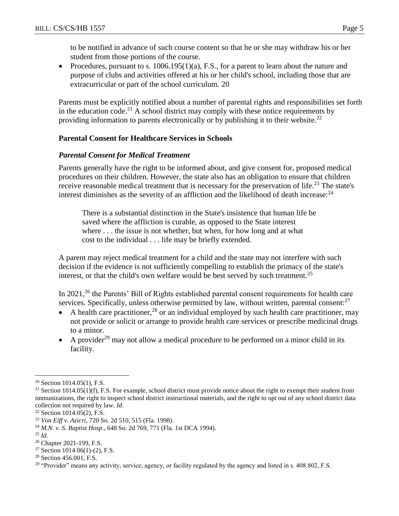to be notified in advance of such course content so that he or she may withdraw his or her student from those portions of the course.

• Procedures, pursuant to s.  $1006.195(1)(a)$ , F.S., for a parent to learn about the nature and purpose of clubs and activities offered at his or her child's school, including those that are extracurricular or part of the school curriculum. 20

Parents must be explicitly notified about a number of parental rights and responsibilities set forth in the education code.<sup>21</sup> A school district may comply with these notice requirements by providing information to parents electronically or by publishing it to their website.<sup>22</sup>

## **Parental Consent for Healthcare Services in Schools**

### *Parental Consent for Medical Treatment*

Parents generally have the right to be informed about, and give consent for, proposed medical procedures on their children. However, the state also has an obligation to ensure that children receive reasonable medical treatment that is necessary for the preservation of life.<sup>23</sup> The state's interest diminishes as the severity of an affliction and the likelihood of death increase: $^{24}$ 

There is a substantial distinction in the State's insistence that human life be saved where the affliction is curable, as opposed to the State interest where . . . the issue is not whether, but when, for how long and at what cost to the individual . . . life may be briefly extended.

A parent may reject medical treatment for a child and the state may not interfere with such decision if the evidence is not sufficiently compelling to establish the primacy of the state's interest, or that the child's own welfare would be best served by such treatment.<sup>25</sup>

In 2021,<sup>26</sup> the Parents' Bill of Rights established parental consent requirements for health care services. Specifically, unless otherwise permitted by law, without written, parental consent:<sup>27</sup>

- A health care practitioner,  $^{28}$  or an individual employed by such health care practitioner, may not provide or solicit or arrange to provide health care services or prescribe medicinal drugs to a minor.
- A provider<sup>29</sup> may not allow a medical procedure to be performed on a minor child in its facility.

 $20$  Section 1014.05(1), F.S.

<sup>&</sup>lt;sup>21</sup> Section 1014.05(1)(f), F.S. For example, school district must provide notice about the right to exempt their student from immunizations, the right to inspect school district instructional materials, and the right to opt out of any school district data collection not required by law. *Id*.

 $22$  Section 1014.05(2), F.S.

<sup>23</sup> *Von Eiff v. Azicri*, 720 So. 2d 510, 515 (Fla. 1998).

<sup>24</sup> *M.N. v. S. Baptist Hosp*., 648 So. 2d 769, 771 (Fla. 1st DCA 1994).

 $^{25}$  *Id.* 

<sup>26</sup> Chapter 2021-199, F.S.

<sup>&</sup>lt;sup>27</sup> Section 1014.06(1)-(2), F.S.

<sup>&</sup>lt;sup>28</sup> Section 456.001, F.S.

<sup>&</sup>lt;sup>29</sup> "Provider" means any activity, service, agency, or facility regulated by the agency and listed in s. 408.802, F.S.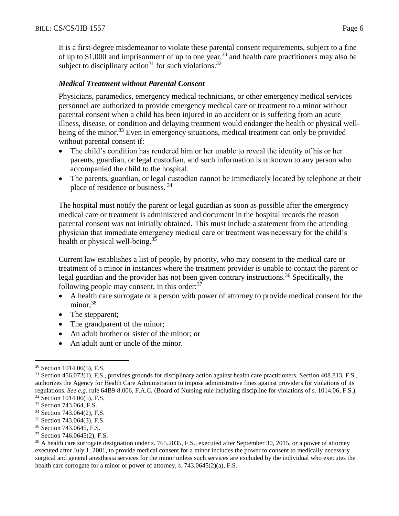It is a first-degree misdemeanor to violate these parental consent requirements, subject to a fine of up to \$1,000 and imprisonment of up to one year,<sup>30</sup> and health care practitioners may also be subject to disciplinary action<sup>31</sup> for such violations.<sup>32</sup>

## *Medical Treatment without Parental Consent*

Physicians, paramedics, emergency medical technicians, or other emergency medical services personnel are authorized to provide emergency medical care or treatment to a minor without parental consent when a child has been injured in an accident or is suffering from an acute illness, disease, or condition and delaying treatment would endanger the health or physical wellbeing of the minor.<sup>33</sup> Even in emergency situations, medical treatment can only be provided without parental consent if:

- The child's condition has rendered him or her unable to reveal the identity of his or her parents, guardian, or legal custodian, and such information is unknown to any person who accompanied the child to the hospital.
- The parents, guardian, or legal custodian cannot be immediately located by telephone at their place of residence or business. <sup>34</sup>

The hospital must notify the parent or legal guardian as soon as possible after the emergency medical care or treatment is administered and document in the hospital records the reason parental consent was not initially obtained. This must include a statement from the attending physician that immediate emergency medical care or treatment was necessary for the child's health or physical well-being.<sup>35</sup>

Current law establishes a list of people, by priority, who may consent to the medical care or treatment of a minor in instances where the treatment provider is unable to contact the parent or legal guardian and the provider has not been given contrary instructions.<sup>36</sup> Specifically, the following people may consent, in this order: $37$ 

- A health care surrogate or a person with power of attorney to provide medical consent for the minor:<sup>38</sup>
- The stepparent;
- The grandparent of the minor;
- An adult brother or sister of the minor; or
- An adult aunt or uncle of the minor.

<sup>30</sup> Section 1014.06(5), F.S.

<sup>&</sup>lt;sup>31</sup> Section 456.072(1), F.S., provides grounds for disciplinary action against health care practitioners. Section 408.813, F.S., authorizes the Agency for Health Care Administration to impose administrative fines against providers for violations of its regulations. *See e.g.* rule 64B9-8.006, F.A.C. (Board of Nursing rule including discipline for violations of s. 1014.06, F.S.). <sup>32</sup> Section 1014.06(5), F.S.

<sup>33</sup> Section 743.064, F.S.

<sup>34</sup> Section 743.064(2), F.S.

<sup>35</sup> Section 743.064(3), F.S.

<sup>36</sup> Section 743.0645, F.S.

<sup>37</sup> Section 746.0645(2), F.S.

<sup>&</sup>lt;sup>38</sup> A health care surrogate designation under s. 765.2035, F.S., executed after September 30, 2015, or a power of attorney executed after July 1, 2001, to provide medical consent for a minor includes the power to consent to medically necessary surgical and general anesthesia services for the minor unless such services are excluded by the individual who executes the health care surrogate for a minor or power of attorney, s. 743.0645(2)(a), F.S.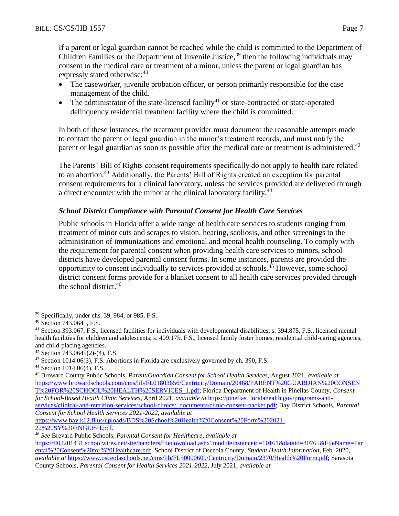If a parent or legal guardian cannot be reached while the child is committed to the Department of Children Families or the Department of Juvenile Justice,<sup>39</sup> then the following individuals may consent to the medical care or treatment of a minor, unless the parent or legal guardian has expressly stated otherwise:<sup>40</sup>

- The caseworker, juvenile probation officer, or person primarily responsible for the case management of the child.
- The administrator of the state-licensed facility<sup>41</sup> or state-contracted or state-operated delinquency residential treatment facility where the child is committed.

In both of these instances, the treatment provider must document the reasonable attempts made to contact the parent or legal guardian in the minor's treatment records, and must notify the parent or legal guardian as soon as possible after the medical care or treatment is administered.<sup>42</sup>

The Parents' Bill of Rights consent requirements specifically do not apply to health care related to an abortion.<sup>43</sup> Additionally, the Parents' Bill of Rights created an exception for parental consent requirements for a clinical laboratory, unless the services provided are delivered through a direct encounter with the minor at the clinical laboratory facility.<sup>44</sup>

## *School District Compliance with Parental Consent for Health Care Services*

Public schools in Florida offer a wide range of health care services to students ranging from treatment of minor cuts and scrapes to vision, hearing, scoliosis, and other screenings to the administration of immunizations and emotional and mental health counseling. To comply with the requirement for parental consent when providing health care services to minors, school districts have developed parental consent forms. In some instances, parents are provided the opportunity to consent individually to services provided at schools.<sup>45</sup> However, some school district consent forms provide for a blanket consent to all health care services provided through the school district.<sup>46</sup>

 $\overline{a}$ 

[22%20SY%20ENGLISH.pdf.](https://www.bay.k12.fl.us/uploads/BDS%20School%20Health%20Consent%20Form%202021-22%20SY%20ENGLISH.pdf)

<sup>39</sup> Specifically, under chs. 39, 984, or 985, F.S.

<sup>40</sup> Section 743.0645, F.S.

<sup>41</sup> Section 393.067, F.S., licensed facilities for individuals with developmental disabilities; s. 394.875, F.S., licensed mental health facilities for children and adolescents; s. 409.175, F.S., licensed family foster homes, residential child-caring agencies, and child-placing agencies.

<sup>42</sup> Section 743.0645(2)-(4), F.S.

<sup>43</sup> Section 1014.06(3), F.S. Abortions in Florida are exclusively governed by ch. 390, F.S.

<sup>44</sup> Section 1014.06(4), F.S.

<sup>45</sup> Broward County Public Schools, *Parent/Guardian Consent for School Health Services*, August 2021, *available at*  [https://www.browardschools.com/cms/lib/FL01803656/Centricity/Domain/20468/PARENT%20GUARDIAN%20CONSEN](https://www.browardschools.com/cms/lib/FL01803656/Centricity/Domain/20468/PARENT%20GUARDIAN%20CONSENT%20FOR%20SCHOOL%20HEALTH%20SERVICES_1.pdf) [T%20FOR%20SCHOOL%20HEALTH%20SERVICES\\_1.pdf;](https://www.browardschools.com/cms/lib/FL01803656/Centricity/Domain/20468/PARENT%20GUARDIAN%20CONSENT%20FOR%20SCHOOL%20HEALTH%20SERVICES_1.pdf) Florida Department of Health in Pinellas County, *Consent for School-Based Health Clinic Services*, April 2021, *available at* [https://pinellas.floridahealth.gov/programs-and](https://pinellas.floridahealth.gov/programs-and-services/clinical-and-nutrition-services/school-clinics/_documents/clinic-consent-packet.pdf)[services/clinical-and-nutrition-services/school-clinics/\\_documents/clinic-consent-packet.pdf;](https://pinellas.floridahealth.gov/programs-and-services/clinical-and-nutrition-services/school-clinics/_documents/clinic-consent-packet.pdf) Bay District Schools, *Parental Consent for School Health Services 2021-2022*, *available at* [https://www.bay.k12.fl.us/uploads/BDS%20School%20Health%20Consent%20Form%202021-](https://www.bay.k12.fl.us/uploads/BDS%20School%20Health%20Consent%20Form%202021-22%20SY%20ENGLISH.pdf)

<sup>46</sup> *See* Brevard Public Schools, *Parental Consent for Healthcare*, *available at* 

[https://fl02201431.schoolwires.net/site/handlers/filedownload.ashx?moduleinstanceid=10161&dataid=80765&FileName=Par](https://fl02201431.schoolwires.net/site/handlers/filedownload.ashx?moduleinstanceid=10161&dataid=80765&FileName=Parental%20Consent%20for%20Healthcare.pdf) [ental%20Consent%20for%20Healthcare.pdf;](https://fl02201431.schoolwires.net/site/handlers/filedownload.ashx?moduleinstanceid=10161&dataid=80765&FileName=Parental%20Consent%20for%20Healthcare.pdf) School District of Osceola County, *Student Health Information*, Feb. 2020, *available at* [https://www.osceolaschools.net/cms/lib/FL50000609/Centricity/Domain/2370/Health%20Form.pdf;](https://www.osceolaschools.net/cms/lib/FL50000609/Centricity/Domain/2370/Health%20Form.pdf) Sarasota County Schools, *Parental Consent for Health Services 2021-2022*, July 2021, *available at*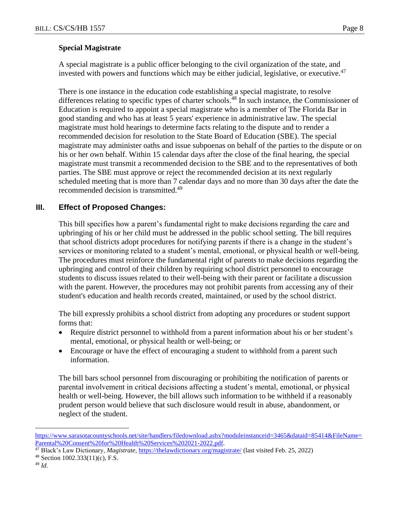### **Special Magistrate**

A special magistrate is a public officer belonging to the civil organization of the state, and invested with powers and functions which may be either judicial, legislative, or executive.<sup>47</sup>

There is one instance in the education code establishing a special magistrate, to resolve differences relating to specific types of charter schools.<sup>48</sup> In such instance, the Commissioner of Education is required to appoint a special magistrate who is a member of The Florida Bar in good standing and who has at least 5 years' experience in administrative law. The special magistrate must hold hearings to determine facts relating to the dispute and to render a recommended decision for resolution to the State Board of Education (SBE). The special magistrate may administer oaths and issue subpoenas on behalf of the parties to the dispute or on his or her own behalf. Within 15 calendar days after the close of the final hearing, the special magistrate must transmit a recommended decision to the SBE and to the representatives of both parties. The SBE must approve or reject the recommended decision at its next regularly scheduled meeting that is more than 7 calendar days and no more than 30 days after the date the recommended decision is transmitted.<sup>49</sup>

# **III. Effect of Proposed Changes:**

This bill specifies how a parent's fundamental right to make decisions regarding the care and upbringing of his or her child must be addressed in the public school setting. The bill requires that school districts adopt procedures for notifying parents if there is a change in the student's services or monitoring related to a student's mental, emotional, or physical health or well-being. The procedures must reinforce the fundamental right of parents to make decisions regarding the upbringing and control of their children by requiring school district personnel to encourage students to discuss issues related to their well-being with their parent or facilitate a discussion with the parent. However, the procedures may not prohibit parents from accessing any of their student's education and health records created, maintained, or used by the school district.

The bill expressly prohibits a school district from adopting any procedures or student support forms that:

- Require district personnel to withhold from a parent information about his or her student's mental, emotional, or physical health or well-being; or
- Encourage or have the effect of encouraging a student to withhold from a parent such information.

The bill bars school personnel from discouraging or prohibiting the notification of parents or parental involvement in critical decisions affecting a student's mental, emotional, or physical health or well-being. However, the bill allows such information to be withheld if a reasonably prudent person would believe that such disclosure would result in abuse, abandonment, or neglect of the student.

<sup>48</sup> Section 1002.333(11)(c), F.S.

[https://www.sarasotacountyschools.net/site/handlers/filedownload.ashx?moduleinstanceid=3465&dataid=85414&FileName=](https://www.sarasotacountyschools.net/site/handlers/filedownload.ashx?moduleinstanceid=3465&dataid=85414&FileName=Parental%20Consent%20for%20Health%20Services%202021-2022.pdf) [Parental%20Consent%20for%20Health%20Services%202021-2022.pdf.](https://www.sarasotacountyschools.net/site/handlers/filedownload.ashx?moduleinstanceid=3465&dataid=85414&FileName=Parental%20Consent%20for%20Health%20Services%202021-2022.pdf)

<sup>47</sup> Black's Law Dictionary, *Magistrate*,<https://thelawdictionary.org/magistrate/> (last visited Feb. 25, 2022)

<sup>49</sup> *Id.*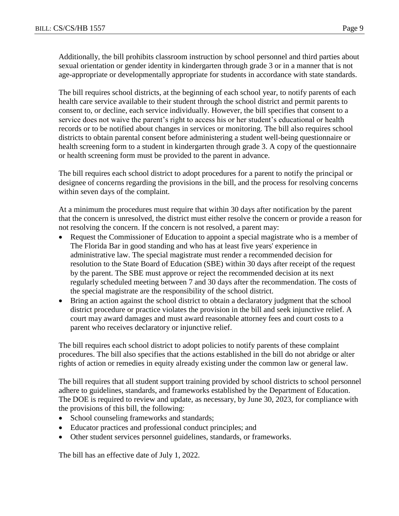Additionally, the bill prohibits classroom instruction by school personnel and third parties about sexual orientation or gender identity in kindergarten through grade 3 or in a manner that is not age-appropriate or developmentally appropriate for students in accordance with state standards.

The bill requires school districts, at the beginning of each school year, to notify parents of each health care service available to their student through the school district and permit parents to consent to, or decline, each service individually. However, the bill specifies that consent to a service does not waive the parent's right to access his or her student's educational or health records or to be notified about changes in services or monitoring. The bill also requires school districts to obtain parental consent before administering a student well-being questionnaire or health screening form to a student in kindergarten through grade 3. A copy of the questionnaire or health screening form must be provided to the parent in advance.

The bill requires each school district to adopt procedures for a parent to notify the principal or designee of concerns regarding the provisions in the bill, and the process for resolving concerns within seven days of the complaint.

At a minimum the procedures must require that within 30 days after notification by the parent that the concern is unresolved, the district must either resolve the concern or provide a reason for not resolving the concern. If the concern is not resolved, a parent may:

- Request the Commissioner of Education to appoint a special magistrate who is a member of The Florida Bar in good standing and who has at least five years' experience in administrative law. The special magistrate must render a recommended decision for resolution to the State Board of Education (SBE) within 30 days after receipt of the request by the parent. The SBE must approve or reject the recommended decision at its next regularly scheduled meeting between 7 and 30 days after the recommendation. The costs of the special magistrate are the responsibility of the school district.
- Bring an action against the school district to obtain a declaratory judgment that the school district procedure or practice violates the provision in the bill and seek injunctive relief. A court may award damages and must award reasonable attorney fees and court costs to a parent who receives declaratory or injunctive relief.

The bill requires each school district to adopt policies to notify parents of these complaint procedures. The bill also specifies that the actions established in the bill do not abridge or alter rights of action or remedies in equity already existing under the common law or general law.

The bill requires that all student support training provided by school districts to school personnel adhere to guidelines, standards, and frameworks established by the Department of Education. The DOE is required to review and update, as necessary, by June 30, 2023, for compliance with the provisions of this bill, the following:

- School counseling frameworks and standards;
- Educator practices and professional conduct principles; and
- Other student services personnel guidelines, standards, or frameworks.

The bill has an effective date of July 1, 2022.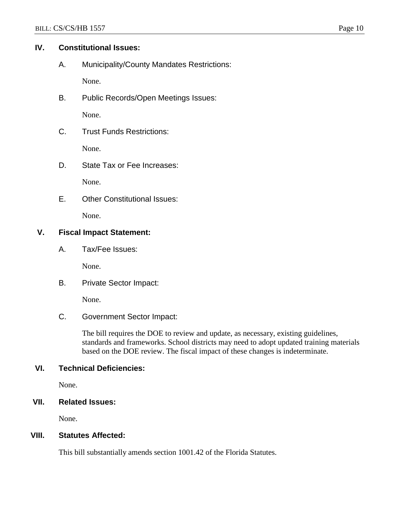### **IV. Constitutional Issues:**

A. Municipality/County Mandates Restrictions:

None.

B. Public Records/Open Meetings Issues:

None.

C. Trust Funds Restrictions:

None.

D. State Tax or Fee Increases:

None.

E. Other Constitutional Issues:

None.

## **V. Fiscal Impact Statement:**

A. Tax/Fee Issues:

None.

B. Private Sector Impact:

None.

C. Government Sector Impact:

The bill requires the DOE to review and update, as necessary, existing guidelines, standards and frameworks. School districts may need to adopt updated training materials based on the DOE review. The fiscal impact of these changes is indeterminate.

## **VI. Technical Deficiencies:**

None.

**VII. Related Issues:**

None.

## **VIII. Statutes Affected:**

This bill substantially amends section 1001.42 of the Florida Statutes.